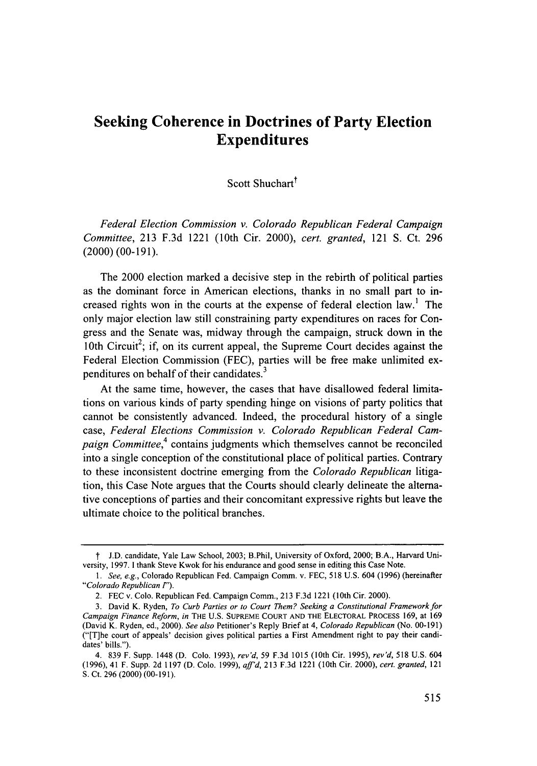# **Seeking Coherence in Doctrines of Party Election Expenditures**

# Scott Shuchart<sup>†</sup>

*Federal Election Commission v. Colorado Republican Federal Campaign Committee,* **213 F.3d** 1221 (10th Cir. 2000), *cert. granted,* 121 **S.** Ct. **296** (2000) (00-191).

The 2000 election marked a decisive step in the rebirth of political parties as the dominant force in American elections, thanks in no small part to increased rights won in the courts at the expense of federal election law.' The only major election law still constraining party expenditures on races for Congress and the Senate was, midway through the campaign, struck down in the 10th Circuit<sup>2</sup>; if, on its current appeal, the Supreme Court decides against the Federal Election Commission (FEC), parties will be free make unlimited expenditures on behalf of their candidates.<sup>3</sup>

At the same time, however, the cases that have disallowed federal limitations on various kinds of party spending hinge on visions of party politics that cannot be consistently advanced. Indeed, the procedural history of a single case, *Federal Elections Commission v. Colorado Republican Federal Campaign Committee*,<sup>4</sup> contains judgments which themselves cannot be reconciled into a single conception of the constitutional place of political parties. Contrary to these inconsistent doctrine emerging from the *Colorado Republican* litigation, this Case Note argues that the Courts should clearly delineate the alternative conceptions of parties and their concomitant expressive rights but leave the ultimate choice to the political branches.

t J.D. candidate, Yale Law School, 2003; B.Phil, University of Oxford, 2000; B.A., Harvard University, 1997. I thank Steve Kwok for his endurance and good sense in editing this Case Note.

*<sup>1.</sup> See, e.g.,* Colorado Republican Fed. Campaign Comm. v. FEC, 518 U.S. 604 (1996) (hereinafter *"Colorado Republican F').*

<sup>2.</sup> FEC v. Colo. Republican Fed. Campaign Comm., 213 F.3d 1221 (10th Cir. 2000).

<sup>3.</sup> David K. Ryden, *To Curb Parties or to Court Them? Seeking a Constitutional Framework for Campaign Finance Reform, in* THE U.S. **SUPREME COURT AND** THE ELECTORAL **PROCESS** 169, at 169 (David K. Ryden, ed., 2000). *See also* Petitioner's Reply Brief at 4, *Colorado Republican (No.* 00-191) ("[T]he court of appeals' decision gives political parties a First Amendment right to pay their candidates' bills.").

<sup>4. 839</sup> F. Supp. 1448 (D. Colo. 1993), *rev'd,* 59 F.3d 1015 (10th Cir. 1995), *rev'd,* 518 U.S. 604 (1996), 41 F. Supp. 2d 1197 (D. Colo. 1999), *affid,* 213 F.3d 1221 (10th Cir. 2000), *cert. granted,* 121 S. Ct. 296 (2000) (00-191).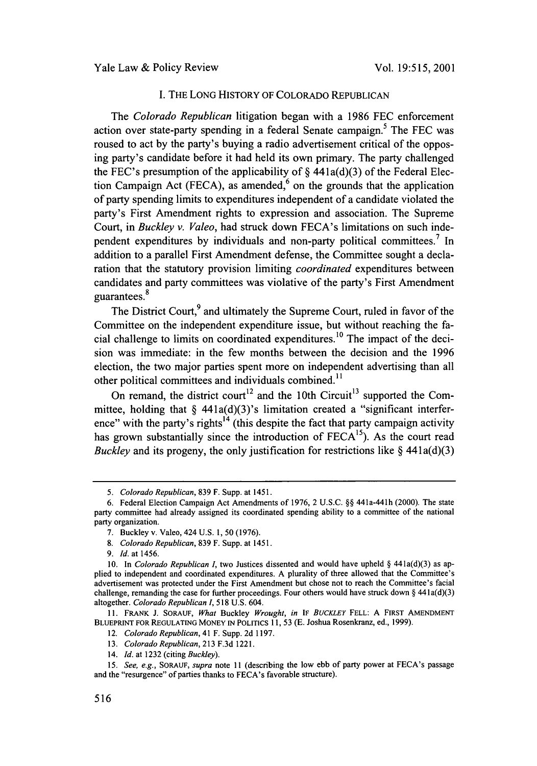#### I. THE LONG HISTORY OF COLORADO REPUBLICAN

The *Colorado Republican* litigation began with a 1986 **FEC** enforcement action over state-party spending in a federal Senate campaign.<sup>5</sup> The FEC was roused to act **by** the party's buying a radio advertisement critical of the opposing party's candidate before it had held its own primary. The party challenged the FEC's presumption of the applicability of  $\S$  441a(d)(3) of the Federal Election Campaign Act (FECA), as amended, $6$  on the grounds that the application of party spending limits to expenditures independent of a candidate violated the party's First Amendment rights to expression and association. The Supreme Court, in *Buckley v. Valeo,* had struck down FECA's limitations on such independent expenditures by individuals and non-party political committees.<sup>7</sup> In addition to a parallel First Amendment defense, the Committee sought a declaration that the statutory provision limiting *coordinated* expenditures between candidates and party committees was violative of the party's First Amendment guarantees.<sup>8</sup>

The District Court,<sup>9</sup> and ultimately the Supreme Court, ruled in favor of the Committee on the independent expenditure issue, but without reaching the facial challenge to limits on coordinated expenditures. 1° The impact of the decision was immediate: in the few months between the decision and the 1996 election, the two major parties spent more on independent advertising than all other political committees and individuals combined.'"

On remand, the district court<sup>12</sup> and the 10th Circuit<sup>13</sup> supported the Committee, holding that  $\S$  441a(d)(3)'s limitation created a "significant interference" with the party's rights<sup> $14$ </sup> (this despite the fact that party campaign activity has grown substantially since the introduction of  $FECA<sup>15</sup>$ . As the court read *Buckley* and its progeny, the only justification for restrictions like  $\S$  441a(d)(3)

- *8. Colorado Republican,* 839 F. Supp. at 1451.
- *9. Id.* at 1456.

**11.** FRANK J. **SORAUF,** *What* Buckley *Wrought, in* IF BUCKLEY FELL: A FIRST **AMENDMENT** BLUEPRINT FOR **REGULATING** MONEY **IN POLITICS 11,** 53 (E. Joshua Rosenkranz, ed., 1999).

*<sup>5.</sup> Colorado Republican,* 839 F. Supp. at 1451.

<sup>6.</sup> Federal Election Campaign Act Amendments of 1976, 2 U.S.C. §§ 441a-441h (2000). The state party committee had already assigned its coordinated spending ability to a committee of the national party organization.

<sup>7.</sup> Buckley v. Valeo, 424 U.S. 1, 50 (1976).

<sup>10.</sup> In *Colorado Republican I,* two Justices dissented and would have upheld § 441a(d)(3) as applied to independent and coordinated expenditures. A plurality of three allowed that the Committee's advertisement was protected under the First Amendment but chose not to reach the Committee's facial challenge, remanding the case for further proceedings. Four others would have struck down § **441** a(d)(3) altogether. *Colorado Republican 1,* 518 U.S. 604.

<sup>12.</sup> *Colorado Republican,* 41 F. Supp. 2d 1197.

<sup>13.</sup> *Colorado Republican,* 213 F.3d 1221.

<sup>14.</sup> *Id.* at 1232 (citing *Buckley).*

*<sup>15.</sup> See, e.g.,* **SORAUF,** *supra* note 11 (describing the low ebb of party power at FECA's passage and the "resurgence" of parties thanks to FECA's favorable structure).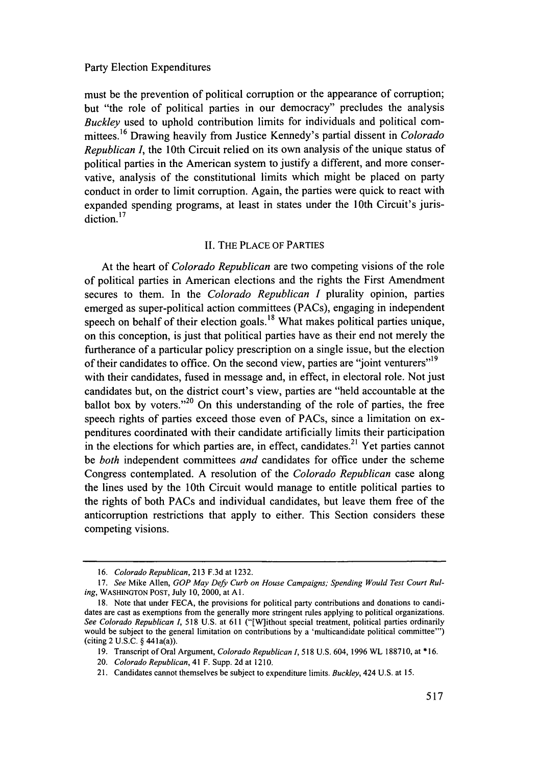must be the prevention of political corruption or the appearance of corruption; but "the role of political parties in our democracy" precludes the analysis *Buckley* used to uphold contribution limits for individuals and political committees.16 Drawing heavily from Justice Kennedy's partial dissent in *Colorado Republican I,* the 10th Circuit relied on its own analysis of the unique status of political parties in the American system to justify a different, and more conservative, analysis of the constitutional limits which might be placed on party conduct in order to limit corruption. Again, the parties were quick to react with expanded spending programs, at least in states under the 10th Circuit's jurisdiction.<sup>17</sup>

# **1I.** THE PLACE OF PARTIES

At the heart of *Colorado Republican* are two competing visions of the role of political parties in American elections and the rights the First Amendment secures to them. In the *Colorado Republican I* plurality opinion, parties emerged as super-political action committees (PACs), engaging in independent speech on behalf of their election goals.<sup>18</sup> What makes political parties unique, on this conception, is just that political parties have as their end not merely the furtherance of a particular policy prescription on a single issue, but the election of their candidates to office. On the second view, parties are "joint venturers"<sup>19</sup> with their candidates, fused in message and, in effect, in electoral role. Not just candidates but, on the district court's view, parties are "held accountable at the ballot box by voters."<sup>20</sup> On this understanding of the role of parties, the free speech rights of parties exceed those even of PACs, since a limitation on expenditures coordinated with their candidate artificially limits their participation in the elections for which parties are, in effect, candidates. 21 Yet parties cannot be *both* independent committees *and* candidates for office under the scheme Congress contemplated. A resolution of the *Colorado Republican* case along the lines used by the 10th Circuit would manage to entitle political parties to the rights of both PACs and individual candidates, but leave them free of the anticorruption restrictions that apply to either. This Section considers these competing visions.

<sup>16.</sup> *Colorado Republican,* 213 F.3d at 1232.

<sup>17.</sup> *See* Mike Allen, *GOP May Defy Curb on House Campaigns; Spending Would Test Court Ruling,* **WASHINGTON POST,** July 10, 2000, at **Al.**

<sup>18.</sup> Note that under FECA, the provisions for political party contributions and donations to candidates are cast as exemptions from the generally more stringent rules applying to political organizations. *See Colorado Republican I,* 518 U.S. at 611 ("[W]ithout special treatment, political parties ordinarily would be subject to the general limitation on contributions by a 'multicandidate political committee'") (citing 2 U.S.C. § 441a(a)).

<sup>19.</sup> Transcript of Oral Argument, *Colorado Republican 1,* 518 **U.S.** 604, 1996 WL 188710, at \*16.

<sup>20.</sup> *Colorado Republican,* 41 F. Supp. 2d at 1210.

<sup>21.</sup> Candidates cannot themselves be subject to expenditure limits. *Buckley,* 424 U.S. at 15.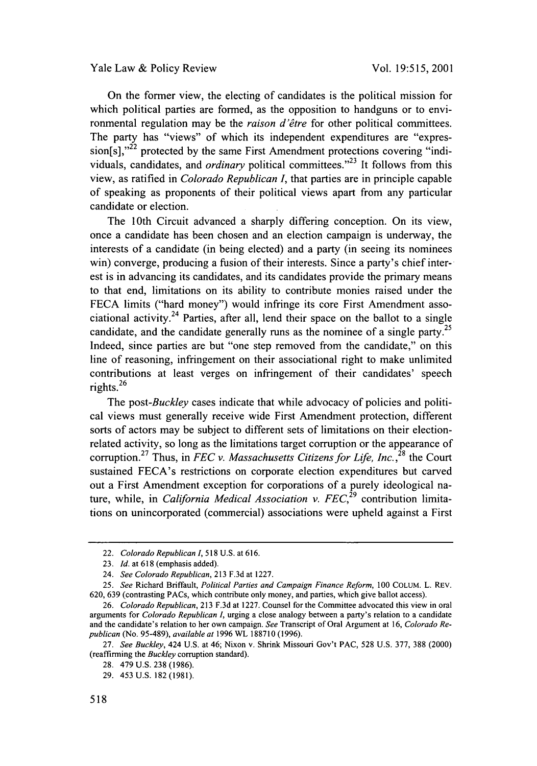On the former view, the electing of candidates is the political mission for which political parties are formed, as the opposition to handguns or to environmental regulation may be the *raison d'être* for other political committees. The party has "views" of which its independent expenditures are "expres- $\sin\left(\frac{1}{2}\right)$  protected by the same First Amendment protections covering "individuals, candidates, and *ordinary* political committees.<sup>323</sup> It follows from this view, as ratified in *Colorado Republican I,* that parties are in principle capable of speaking as proponents of their political views apart from any particular candidate or election.

The 10th Circuit advanced a sharply differing conception. On its view, once a candidate has been chosen and an election campaign is underway, the interests of a candidate (in being elected) and a party (in seeing its nominees win) converge, producing a fusion of their interests. Since a party's chief interest is in advancing its candidates, and its candidates provide the primary means to that end, limitations on its ability to contribute monies raised under the FECA limits ("hard money") would infringe its core First Amendment associational activity.<sup>24</sup> Parties, after all, lend their space on the ballot to a single candidate, and the candidate generally runs as the nominee of a single party.<sup>25</sup> Indeed, since parties are but "one step removed from the candidate," on this line of reasoning, infringement on their associational right to make unlimited contributions at least verges on infringement of their candidates' speech rights. $^{26}$ 

The *post-Buckley* cases indicate that while advocacy of policies and political views must generally receive wide First Amendment protection, different sorts of actors may be subject to different sets of limitations on their electionrelated activity, so long as the limitations target corruption or the appearance of corruption.<sup>27</sup> Thus, in *FEC v. Massachusetts Citizens for Life, Inc.*,<sup>28</sup> the Court sustained FECA's restrictions on corporate election expenditures but carved out a First Amendment exception for corporations of a purely ideological nature, while, in *California Medical Association v. FEC*,<sup>29</sup> contribution limitations on unincorporated (commercial) associations were upheld against a First

<sup>22.</sup> *Colorado Republican I,* 518 U.S. at 616.

<sup>23.</sup> *Id.* at 618 (emphasis added).

<sup>24.</sup> *See Colorado Republican,* 213 F.3d at 1227.

*<sup>25.</sup> See* Richard Briffault, *Political Parties and Campaign Finance Reform,* 100 COLUM. L. REv. 620, 639 (contrasting PACs, which contribute only money, and parties, which give ballot access).

<sup>26.</sup> *Colorado Republican,* 213 F.3d at 1227. Counsel for the Committee advocated this view in oral arguments for *Colorado Republican* **1,** urging a close analogy between a party's relation to a candidate and the candidate's relation to her own campaign. *See* Transcript of Oral Argument at 16, *Colorado Republican* (No. 95-489), *available at* 1996 WL 188710 (1996).

<sup>27.</sup> *See Buckley,* 424 U.S. at 46; Nixon v. Shrink Missouri Gov't PAC, 528 U.S. 377, 388 (2000) (reaffirming the *Buckley* corruption standard).

<sup>28. 479</sup> U.S. 238 (1986).

<sup>29. 453</sup> U.S. 182 (1981).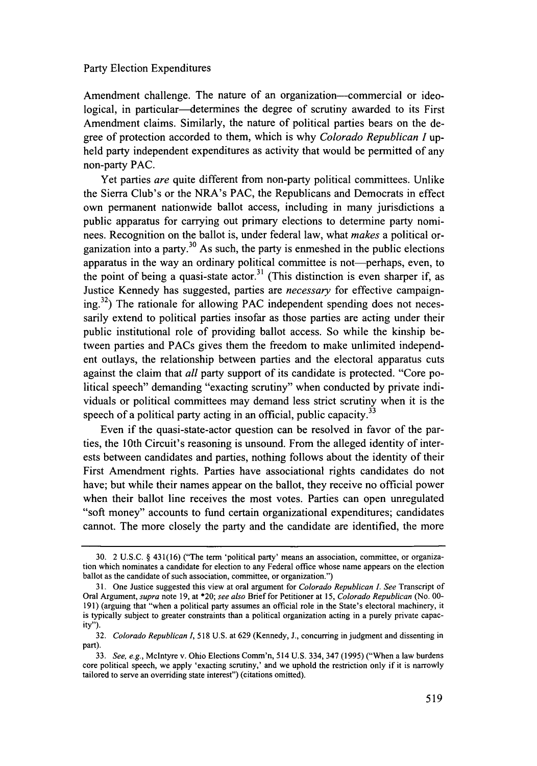Amendment challenge. The nature of an organization--commercial or ideological, in particular—determines the degree of scrutiny awarded to its First Amendment claims. Similarly, the nature of political parties bears on the degree of protection accorded to them, which is why *Colorado Republican I* upheld party independent expenditures as activity that would be permitted of any non-party PAC.

Yet parties *are* quite different from non-party political committees. Unlike the Sierra Club's or the NRA's PAC, the Republicans and Democrats in effect own permanent nationwide ballot access, including in many jurisdictions a public apparatus for carrying out primary elections to determine party nominees. Recognition on the ballot is, under federal law, what *makes* a political organization into a party.<sup>30</sup> As such, the party is enmeshed in the public elections apparatus in the way an ordinary political committee is not—perhaps, even, to the point of being a quasi-state actor.<sup>31</sup> (This distinction is even sharper if, as Justice Kennedy has suggested, parties are *necessary* for effective campaign- $\sin\left(\frac{32}{2}\right)$  The rationale for allowing PAC independent spending does not necessarily extend to political parties insofar as those parties are acting under their public institutional role of providing ballot access. So while the kinship between parties and PACs gives them the freedom to make unlimited independent outlays, the relationship between parties and the electoral apparatus cuts against the claim that *all* party support of its candidate is protected. "Core political speech" demanding "exacting scrutiny" when conducted by private individuals or political committees may demand less strict scrutiny when it is the speech of a political party acting in an official, public capacity.<sup>33</sup>

Even if the quasi-state-actor question can be resolved in favor of the parties, the 10th Circuit's reasoning is unsound. From the alleged identity of interests between candidates and parties, nothing follows about the identity of their First Amendment rights. Parties have associational rights candidates do not have; but while their names appear on the ballot, they receive no official power when their ballot line receives the most votes. Parties can open unregulated "soft money" accounts to fund certain organizational expenditures; candidates cannot. The more closely the party and the candidate are identified, the more

<sup>30. 2</sup> U.S.C. § 431(16) ("The term 'political party' means an association, committee, or organization which nominates a candidate for election to any Federal office whose name appears on the election ballot as the candidate of such association, committee, or organization.")

<sup>31.</sup> One Justice suggested this view at oral argument for *Colorado Republican L See* Transcript of Oral Argument, *supra* note 19, at \*20; *see also* Brief for Petitioner at 15, *Colorado Republican (No.* 00- 191) (arguing that "when a political party assumes an official role in the State's electoral machinery, it is typically subject to greater constraints than a political organization acting in a purely private capacity").

<sup>32.</sup> *Colorado Republican I,* 518 U.S. at 629 (Kennedy, J., concurring in judgment and dissenting in part).

<sup>33.</sup> *See, e.g.,* McIntyre v. Ohio Elections Comm'n, 514 U.S. 334, 347 (1995) ("When a law burdens core political speech, we apply 'exacting scrutiny,' and we uphold the restriction only if it is narrowly tailored to serve an overriding state interest") (citations omitted).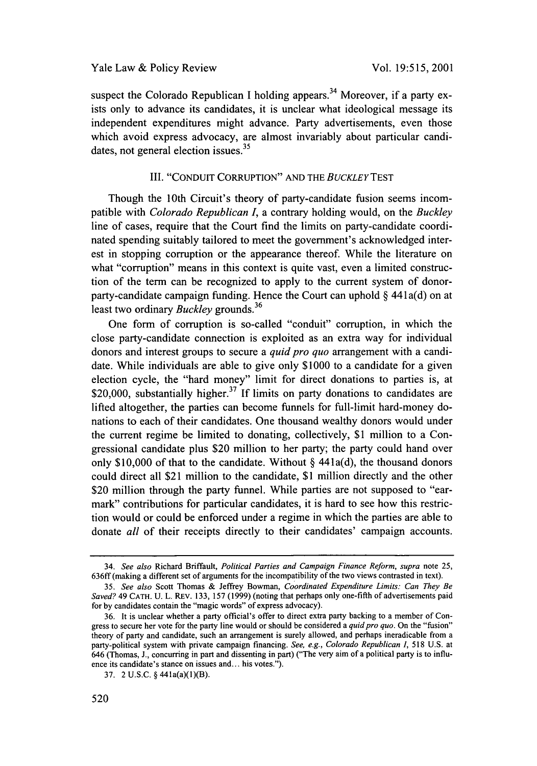suspect the Colorado Republican I holding appears.<sup>34</sup> Moreover, if a party exists only to advance its candidates, it is unclear what ideological message its independent expenditures might advance. Party advertisements, even those which avoid express advocacy, are almost invariably about particular candidates, not general election issues.<sup>35</sup>

#### III. "CONDUIT CORRUPTION" AND THE *BUCKLEY TEST*

Though the 10th Circuit's theory of party-candidate fusion seems incompatible with *Colorado Republican I,* a contrary holding would, on the *Buckley* line of cases, require that the Court find the limits on party-candidate coordinated spending suitably tailored to meet the government's acknowledged interest in stopping corruption or the appearance thereof. While the literature on what "corruption" means in this context is quite vast, even a limited construction of the term can be recognized to apply to the current system of donorparty-candidate campaign funding. Hence the Court can uphold  $\S$  441a(d) on at least two ordinary *Buckley* grounds. <sup>36</sup>

One form of corruption is so-called "conduit" corruption, in which the close party-candidate connection is exploited as an extra way for individual donors and interest groups to secure a *quid pro quo* arrangement with a candidate. While individuals are able to give only \$1000 to a candidate for a given election cycle, the "hard money" limit for direct donations to parties is, at \$20,000, substantially higher.<sup>37</sup> If limits on party donations to candidates are lifted altogether, the parties can become funnels for full-limit hard-money donations to each of their candidates. One thousand wealthy donors would under the current regime be limited to donating, collectively, \$1 million to a Congressional candidate plus \$20 million to her party; the party could hand over only \$10,000 of that to the candidate. Without  $\S$  441a(d), the thousand donors could direct all \$21 million to the candidate, \$1 million directly and the other \$20 million through the party funnel. While parties are not supposed to "earmark" contributions for particular candidates, it is hard to see how this restriction would or could be enforced under a regime in which the parties are able to donate *all* of their receipts directly to their candidates' campaign accounts.

<sup>34.</sup> *See also* Richard Briffault, *Political Parties and Campaign Finance Reform, supra* note 25, 636ff (making a different set of arguments for the incompatibility of the two views contrasted in text).

*<sup>35.</sup> See also* Scott Thomas & Jeffrey Bowman, *Coordinated Expenditure Limits: Can They Be Saved?* 49 CATH. U. L. REv. 133, 157 (1999) (noting that perhaps only one-fifth of advertisements paid for by candidates contain the "magic words" of express advocacy).

<sup>36.</sup> It is unclear whether a party official's offer to direct extra party backing to a member of Congress to secure her vote for the party line would or should be considered a *quid pro quo.* On the "fusion" theory of party and candidate, such an arrangement is surely allowed, and perhaps ineradicable from a party-political system with private campaign financing. *See, e.g., Colorado Republican 1,* 518 U.S. at 646 (Thomas, J., concurring in part and dissenting in part) ("The very aim of a political party is to influence its candidate's stance on issues and.., his votes.").

<sup>37. 2</sup> U.S.C. § 441a(a)(l)(B).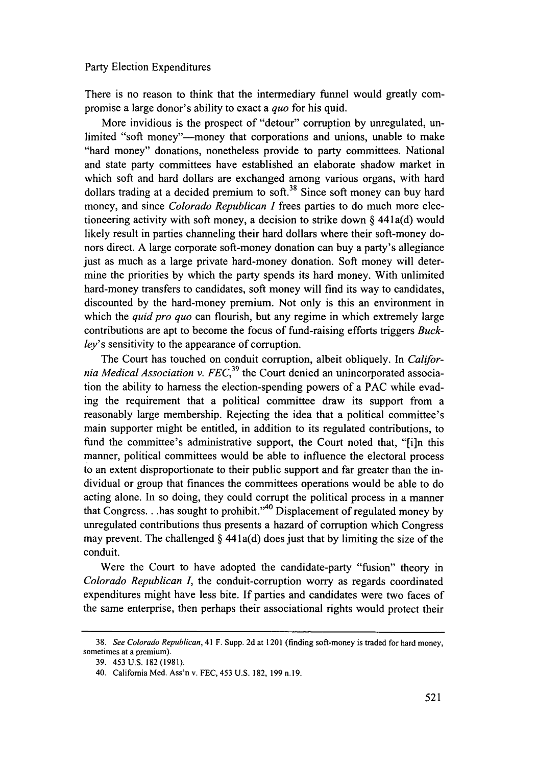There is no reason to think that the intermediary funnel would greatly compromise a large donor's ability to exact a *quo* for his quid.

More invidious is the prospect of "detour" corruption by unregulated, unlimited "soft money"—money that corporations and unions, unable to make "hard money" donations, nonetheless provide to party committees. National and state party committees have established an elaborate shadow market in which soft and hard dollars are exchanged among various organs, with hard dollars trading at a decided premium to soft.<sup>38</sup> Since soft money can buy hard money, and since *Colorado Republican I* frees parties to do much more electioneering activity with soft money, a decision to strike down  $\S$  441a(d) would likely result in parties channeling their hard dollars where their soft-money donors direct. A large corporate soft-money donation can buy a party's allegiance just as much as a large private hard-money donation. Soft money will determine the priorities by which the party spends its hard money. With unlimited hard-money transfers to candidates, soft money will find its way to candidates, discounted by the hard-money premium. Not only is this an environment in which the *quid pro quo* can flourish, but any regime in which extremely large contributions are apt to become the focus of fund-raising efforts triggers *Buckley's* sensitivity to the appearance of corruption.

The Court has touched on conduit corruption, albeit obliquely. In *California Medical Association v. FEC,39* the Court denied an unincorporated association the ability to harness the election-spending powers of a PAC while evading the requirement that a political committee draw its support from a reasonably large membership. Rejecting the idea that a political committee's main supporter might be entitled, in addition to its regulated contributions, to fund the committee's administrative support, the Court noted that, "[i]n this manner, political committees would be able to influence the electoral process to an extent disproportionate to their public support and far greater than the individual or group that finances the committees operations would be able to do acting alone. In so doing, they could corrupt the political process in a manner that Congress... has sought to prohibit."<sup>40</sup> Displacement of regulated money by unregulated contributions thus presents a hazard of corruption which Congress may prevent. The challenged  $\S$  441a(d) does just that by limiting the size of the conduit.

Were the Court to have adopted the candidate-party "fusion" theory in *Colorado Republican I,* the conduit-corruption worry as regards coordinated expenditures might have less bite. If parties and candidates were two faces of the same enterprise, then perhaps their associational rights would protect their

<sup>38.</sup> *See Colorado Republican,* 41 F. Supp. 2d at 1201 (finding soft-money is traded for hard money, sometimes at a premium).

<sup>39. 453</sup> U.S. 182 (1981).

<sup>40.</sup> California Med. Ass'n v. FEC, 453 U.S. 182, 199 n.19.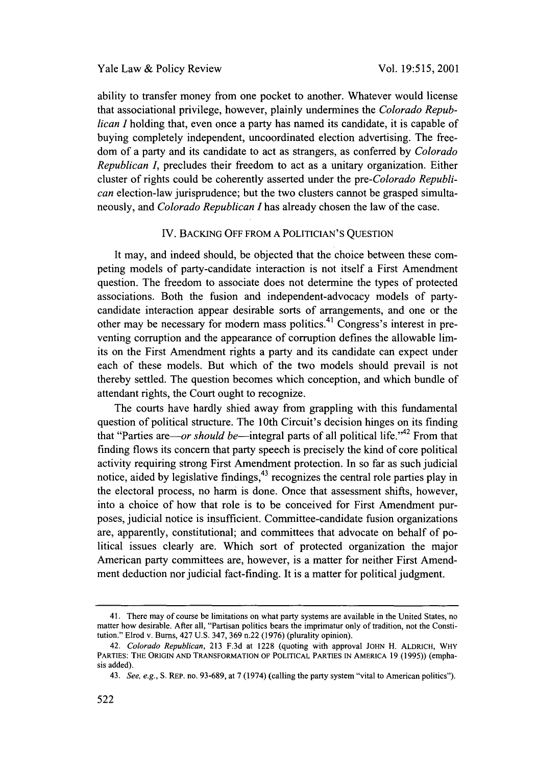#### Yale Law & Policy Review

ability to transfer money from one pocket to another. Whatever would license that associational privilege, however, plainly undermines the *Colorado Republican I* holding that, even once a party has named its candidate, it is capable of buying completely independent, uncoordinated election advertising. The freedom of a party and its candidate to act as strangers, as conferred by *Colorado Republican I,* precludes their freedom to act as a unitary organization. Either cluster of rights could be coherently asserted under the *pre-Colorado Republican* election-law jurisprudence; but the two clusters cannot be grasped simultaneously, and *Colorado Republican I* has already chosen the law of the case.

# IV. BACKING OFF FROM A POLITICIAN'S QUESTION

It may, and indeed should, be objected that the choice between these competing models of party-candidate interaction is not itself a First Amendment question. The freedom to associate does not determine the types of protected associations. Both the fusion and independent-advocacy models of partycandidate interaction appear desirable sorts of arrangements, and one or the other may be necessary for modern mass politics.<sup>41</sup> Congress's interest in preventing corruption and the appearance of corruption defines the allowable limits on the First Amendment rights a party and its candidate can expect under each of these models. But which of the two models should prevail is not thereby settled. The question becomes which conception, and which bundle of attendant rights, the Court ought to recognize.

The courts have hardly shied away from grappling with this fundamental question of political structure. The 10th Circuit's decision hinges on its finding that "Parties are—or *should be*—integral parts of all political life."<sup>42</sup> From that finding flows its concern that party speech is precisely the kind of core political activity requiring strong First Amendment protection. In so far as such judicial notice, aided by legislative findings,<sup>43</sup> recognizes the central role parties play in the electoral process, no harm is done. Once that assessment shifts, however, into a choice of how that role is to be conceived for First Amendment purposes, judicial notice is insufficient. Committee-candidate fusion organizations are, apparently, constitutional; and committees that advocate on behalf of political issues clearly are. Which sort of protected organization the major American party committees are, however, is a matter for neither First Amendment deduction nor judicial fact-finding. It is a matter for political judgment.

<sup>41.</sup> There may of course be limitations on what party systems are available in the United States, no matter how desirable. After all, "Partisan politics bears the imprimatur only of tradition, not the Constitution." Elrod v. Bums, 427 U.S. 347, 369 n.22 (1976) (plurality opinion).

<sup>42.</sup> *Colorado Republican,* 213 F.3d at 1228 (quoting with approval JOHN H. ALDRICH, WHY PARTIES: THE ORIGIN **AND** TRANSFORMATION OF POLITICAL PARTIES **IN** AMERICA **19** (1995)) (emphasis added).

<sup>43.</sup> *See, e.g.,* S. REP. no. 93-689, at 7 (1974) (calling the party system "vital to American politics").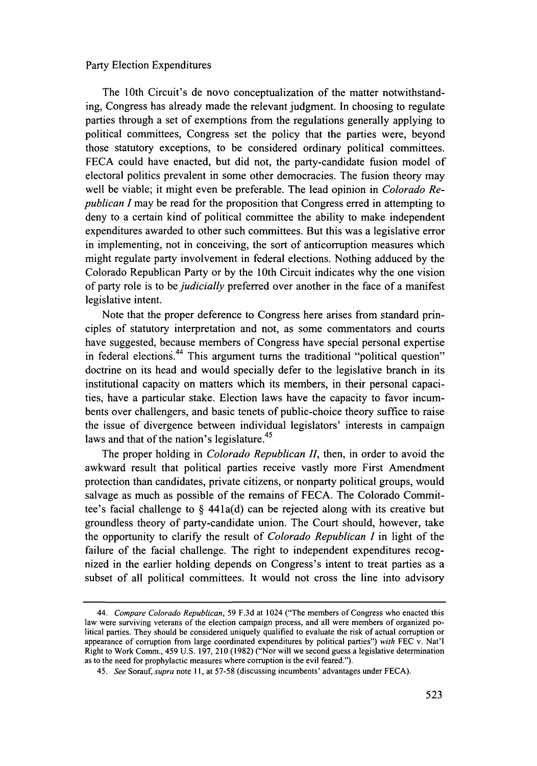The 10th Circuit's de novo conceptualization of the matter notwithstanding, Congress has already made the relevant judgment. In choosing to regulate parties through a set of exemptions from the regulations generally applying to political committees, Congress set the policy that the parties were, beyond those statutory exceptions, to be considered ordinary political committees. FECA could have enacted, but did not, the party-candidate fusion model of electoral politics prevalent in some other democracies. The fusion theory may well be viable; it might even be preferable. The lead opinion in *Colorado Republican I* may be read for the proposition that Congress erred in attempting to deny to a certain kind of political committee the ability to make independent expenditures awarded to other such committees. But this was a legislative error in implementing, not in conceiving, the sort of anticorruption measures which might regulate party involvement in federal elections. Nothing adduced **by** the Colorado Republican Party or by the 10th Circuit indicates why the one vision of party role is to *be judicially* preferred over another in the face of a manifest legislative intent.

Note that the proper deference to Congress here arises from standard principles of statutory interpretation and not, as some commentators and courts have suggested, because members of Congress have special personal expertise in federal elections. 44 This argument turns the traditional "political question" doctrine on its head and would specially defer to the legislative branch in its institutional capacity on matters which its members, in their personal capacities, have a particular stake. Election laws have the capacity to favor incumbents over challengers, and basic tenets of public-choice theory suffice to raise the issue of divergence between individual legislators' interests in campaign laws and that of the nation's legislature.<sup>45</sup>

The proper holding in *Colorado Republican II,* then, in order to avoid the awkward result that political parties receive vastly more First Amendment protection than candidates, private citizens, or nonparty political groups, would salvage as much as possible of the remains of FECA. The Colorado Committee's facial challenge to  $\S$  441a(d) can be rejected along with its creative but groundless theory of party-candidate union. The Court should, however, take the opportunity to clarify the result of *Colorado Republican I* in light of the failure of the facial challenge. The right to independent expenditures recognized in the earlier holding depends on Congress's intent to treat parties as a subset of all political committees. It would not cross the line into advisory

*<sup>44.</sup> Compare Colorado Republican,* 59 **F.3d** at 1024 ("The members of Congress who enacted this law were surviving veterans of the election campaign process, and all were members of organized political parties. They should be considered uniquely qualified to evaluate the risk of actual corruption or appearance of corruption from large coordinated expenditures by political parties") *with* FEC v. Nat'l Right to Work Comm., 459 U.S. 197, 210 (1982) ("Nor will we second guess a legislative determination as to the need for prophylactic measures where corruption is the evil feared.").

<sup>45.</sup> *See* Sorauf, *supra* note **11,** at 57-58 (discussing incumbents' advantages under FECA).